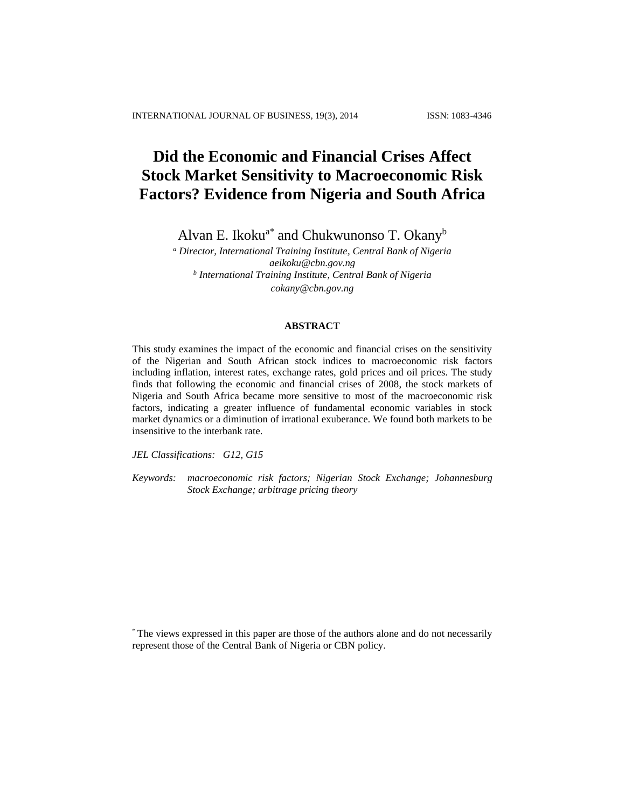# **Did the Economic and Financial Crises Affect Stock Market Sensitivity to Macroeconomic Risk Factors? Evidence from Nigeria and South Africa**

Alvan E. Ikoku<sup>a\*</sup> and Chukwunonso T. Okany<sup>b</sup>

*<sup>a</sup> Director, International Training Institute, Central Bank of Nigeria aeikoku@cbn.gov.ng b International Training Institute, Central Bank of Nigeria cokany@cbn.gov.ng*

### **ABSTRACT**

This study examines the impact of the economic and financial crises on the sensitivity of the Nigerian and South African stock indices to macroeconomic risk factors including inflation, interest rates, exchange rates, gold prices and oil prices. The study finds that following the economic and financial crises of 2008, the stock markets of Nigeria and South Africa became more sensitive to most of the macroeconomic risk factors, indicating a greater influence of fundamental economic variables in stock market dynamics or a diminution of irrational exuberance. We found both markets to be insensitive to the interbank rate.

*JEL Classifications: G12, G15*

*Keywords: macroeconomic risk factors; Nigerian Stock Exchange; Johannesburg Stock Exchange; arbitrage pricing theory*

\* The views expressed in this paper are those of the authors alone and do not necessarily represent those of the Central Bank of Nigeria or CBN policy.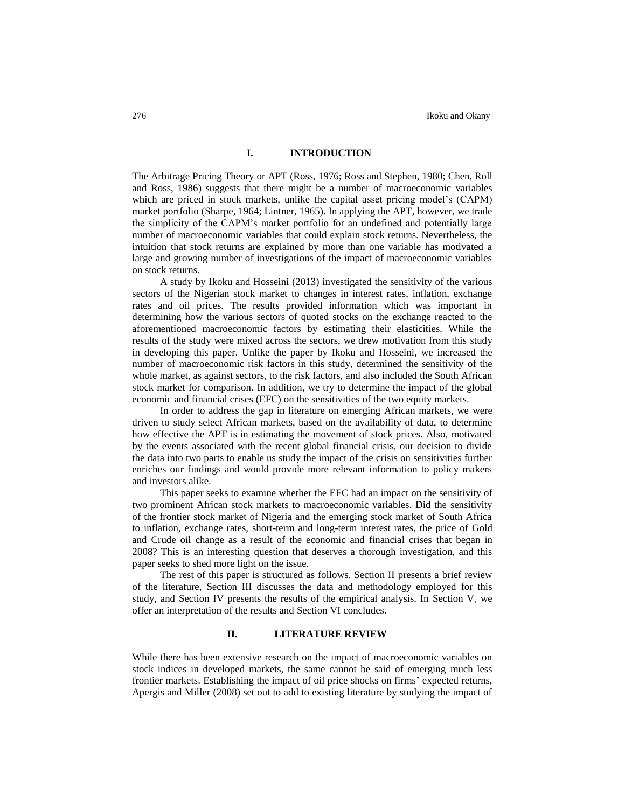# **I. INTRODUCTION**

The Arbitrage Pricing Theory or APT (Ross, 1976; Ross and Stephen, 1980; Chen, Roll and Ross, 1986) suggests that there might be a number of macroeconomic variables which are priced in stock markets, unlike the capital asset pricing model's (CAPM) market portfolio (Sharpe, 1964; Lintner, 1965). In applying the APT, however, we trade the simplicity of the CAPM's market portfolio for an undefined and potentially large number of macroeconomic variables that could explain stock returns. Nevertheless, the intuition that stock returns are explained by more than one variable has motivated a large and growing number of investigations of the impact of macroeconomic variables on stock returns.

A study by Ikoku and Hosseini (2013) investigated the sensitivity of the various sectors of the Nigerian stock market to changes in interest rates, inflation, exchange rates and oil prices. The results provided information which was important in determining how the various sectors of quoted stocks on the exchange reacted to the aforementioned macroeconomic factors by estimating their elasticities. While the results of the study were mixed across the sectors, we drew motivation from this study in developing this paper. Unlike the paper by Ikoku and Hosseini, we increased the number of macroeconomic risk factors in this study, determined the sensitivity of the whole market, as against sectors, to the risk factors, and also included the South African stock market for comparison. In addition, we try to determine the impact of the global economic and financial crises (EFC) on the sensitivities of the two equity markets.

In order to address the gap in literature on emerging African markets, we were driven to study select African markets, based on the availability of data, to determine how effective the APT is in estimating the movement of stock prices. Also, motivated by the events associated with the recent global financial crisis, our decision to divide the data into two parts to enable us study the impact of the crisis on sensitivities further enriches our findings and would provide more relevant information to policy makers and investors alike.

This paper seeks to examine whether the EFC had an impact on the sensitivity of two prominent African stock markets to macroeconomic variables. Did the sensitivity of the frontier stock market of Nigeria and the emerging stock market of South Africa to inflation, exchange rates, short-term and long-term interest rates, the price of Gold and Crude oil change as a result of the economic and financial crises that began in 2008? This is an interesting question that deserves a thorough investigation, and this paper seeks to shed more light on the issue.

The rest of this paper is structured as follows. Section II presents a brief review of the literature, Section III discusses the data and methodology employed for this study, and Section IV presents the results of the empirical analysis. In Section V, we offer an interpretation of the results and Section VI concludes.

# **II. LITERATURE REVIEW**

While there has been extensive research on the impact of macroeconomic variables on stock indices in developed markets, the same cannot be said of emerging much less frontier markets. Establishing the impact of oil price shocks on firms' expected returns, Apergis and Miller (2008) set out to add to existing literature by studying the impact of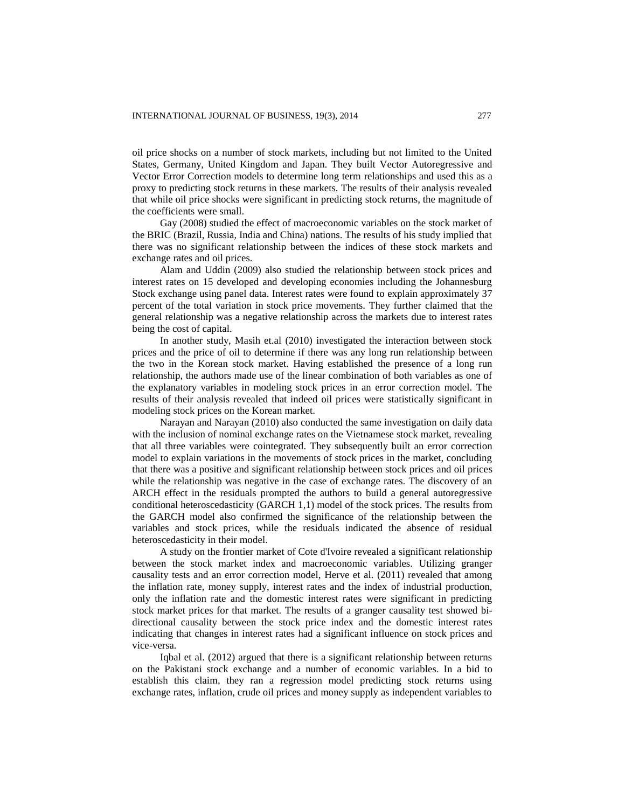oil price shocks on a number of stock markets, including but not limited to the United States, Germany, United Kingdom and Japan. They built Vector Autoregressive and Vector Error Correction models to determine long term relationships and used this as a proxy to predicting stock returns in these markets. The results of their analysis revealed that while oil price shocks were significant in predicting stock returns, the magnitude of the coefficients were small.

Gay (2008) studied the effect of macroeconomic variables on the stock market of the BRIC (Brazil, Russia, India and China) nations. The results of his study implied that there was no significant relationship between the indices of these stock markets and exchange rates and oil prices.

Alam and Uddin (2009) also studied the relationship between stock prices and interest rates on 15 developed and developing economies including the Johannesburg Stock exchange using panel data. Interest rates were found to explain approximately 37 percent of the total variation in stock price movements. They further claimed that the general relationship was a negative relationship across the markets due to interest rates being the cost of capital.

In another study, Masih et.al (2010) investigated the interaction between stock prices and the price of oil to determine if there was any long run relationship between the two in the Korean stock market. Having established the presence of a long run relationship, the authors made use of the linear combination of both variables as one of the explanatory variables in modeling stock prices in an error correction model. The results of their analysis revealed that indeed oil prices were statistically significant in modeling stock prices on the Korean market.

Narayan and Narayan (2010) also conducted the same investigation on daily data with the inclusion of nominal exchange rates on the Vietnamese stock market, revealing that all three variables were cointegrated. They subsequently built an error correction model to explain variations in the movements of stock prices in the market, concluding that there was a positive and significant relationship between stock prices and oil prices while the relationship was negative in the case of exchange rates. The discovery of an ARCH effect in the residuals prompted the authors to build a general autoregressive conditional heteroscedasticity (GARCH 1,1) model of the stock prices. The results from the GARCH model also confirmed the significance of the relationship between the variables and stock prices, while the residuals indicated the absence of residual heteroscedasticity in their model.

A study on the frontier market of Cote d'Ivoire revealed a significant relationship between the stock market index and macroeconomic variables. Utilizing granger causality tests and an error correction model, Herve et al. (2011) revealed that among the inflation rate, money supply, interest rates and the index of industrial production, only the inflation rate and the domestic interest rates were significant in predicting stock market prices for that market. The results of a granger causality test showed bidirectional causality between the stock price index and the domestic interest rates indicating that changes in interest rates had a significant influence on stock prices and vice-versa.

Iqbal et al. (2012) argued that there is a significant relationship between returns on the Pakistani stock exchange and a number of economic variables. In a bid to establish this claim, they ran a regression model predicting stock returns using exchange rates, inflation, crude oil prices and money supply as independent variables to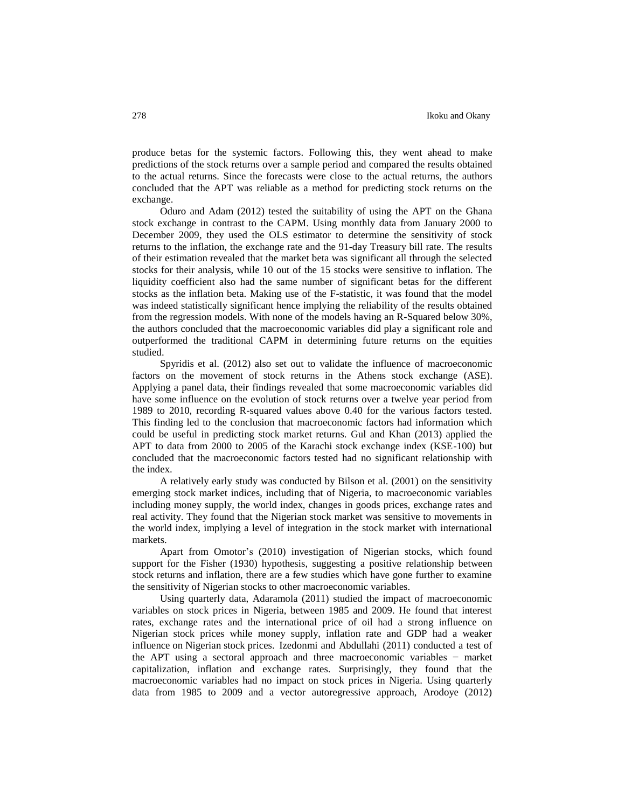produce betas for the systemic factors. Following this, they went ahead to make predictions of the stock returns over a sample period and compared the results obtained to the actual returns. Since the forecasts were close to the actual returns, the authors concluded that the APT was reliable as a method for predicting stock returns on the exchange.

Oduro and Adam (2012) tested the suitability of using the APT on the Ghana stock exchange in contrast to the CAPM. Using monthly data from January 2000 to December 2009, they used the OLS estimator to determine the sensitivity of stock returns to the inflation, the exchange rate and the 91-day Treasury bill rate. The results of their estimation revealed that the market beta was significant all through the selected stocks for their analysis, while 10 out of the 15 stocks were sensitive to inflation. The liquidity coefficient also had the same number of significant betas for the different stocks as the inflation beta. Making use of the F-statistic, it was found that the model was indeed statistically significant hence implying the reliability of the results obtained from the regression models. With none of the models having an R-Squared below 30%, the authors concluded that the macroeconomic variables did play a significant role and outperformed the traditional CAPM in determining future returns on the equities studied.

Spyridis et al. (2012) also set out to validate the influence of macroeconomic factors on the movement of stock returns in the Athens stock exchange (ASE). Applying a panel data, their findings revealed that some macroeconomic variables did have some influence on the evolution of stock returns over a twelve year period from 1989 to 2010, recording R-squared values above 0.40 for the various factors tested. This finding led to the conclusion that macroeconomic factors had information which could be useful in predicting stock market returns. Gul and Khan (2013) applied the APT to data from 2000 to 2005 of the Karachi stock exchange index (KSE-100) but concluded that the macroeconomic factors tested had no significant relationship with the index.

A relatively early study was conducted by Bilson et al. (2001) on the sensitivity emerging stock market indices, including that of Nigeria, to macroeconomic variables including money supply, the world index, changes in goods prices, exchange rates and real activity. They found that the Nigerian stock market was sensitive to movements in the world index, implying a level of integration in the stock market with international markets.

Apart from Omotor's (2010) investigation of Nigerian stocks, which found support for the Fisher (1930) hypothesis, suggesting a positive relationship between stock returns and inflation, there are a few studies which have gone further to examine the sensitivity of Nigerian stocks to other macroeconomic variables.

Using quarterly data, Adaramola (2011) studied the impact of macroeconomic variables on stock prices in Nigeria, between 1985 and 2009. He found that interest rates, exchange rates and the international price of oil had a strong influence on Nigerian stock prices while money supply, inflation rate and GDP had a weaker influence on Nigerian stock prices. Izedonmi and Abdullahi (2011) conducted a test of the APT using a sectoral approach and three macroeconomic variables − market capitalization, inflation and exchange rates. Surprisingly, they found that the macroeconomic variables had no impact on stock prices in Nigeria. Using quarterly data from 1985 to 2009 and a vector autoregressive approach, Arodoye (2012)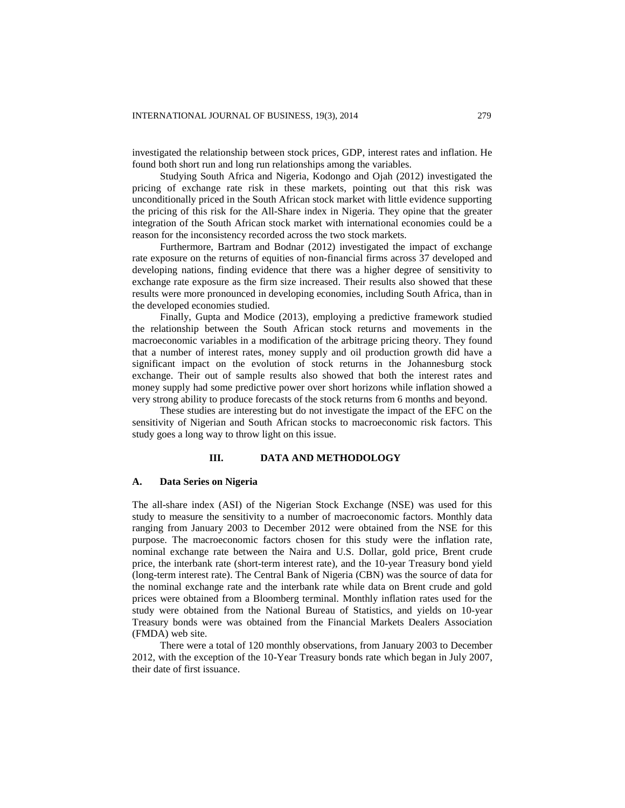investigated the relationship between stock prices, GDP, interest rates and inflation. He found both short run and long run relationships among the variables.

Studying South Africa and Nigeria, Kodongo and Ojah (2012) investigated the pricing of exchange rate risk in these markets, pointing out that this risk was unconditionally priced in the South African stock market with little evidence supporting the pricing of this risk for the All-Share index in Nigeria. They opine that the greater integration of the South African stock market with international economies could be a reason for the inconsistency recorded across the two stock markets.

Furthermore, Bartram and Bodnar (2012) investigated the impact of exchange rate exposure on the returns of equities of non-financial firms across 37 developed and developing nations, finding evidence that there was a higher degree of sensitivity to exchange rate exposure as the firm size increased. Their results also showed that these results were more pronounced in developing economies, including South Africa, than in the developed economies studied.

Finally, Gupta and Modice (2013), employing a predictive framework studied the relationship between the South African stock returns and movements in the macroeconomic variables in a modification of the arbitrage pricing theory. They found that a number of interest rates, money supply and oil production growth did have a significant impact on the evolution of stock returns in the Johannesburg stock exchange. Their out of sample results also showed that both the interest rates and money supply had some predictive power over short horizons while inflation showed a very strong ability to produce forecasts of the stock returns from 6 months and beyond.

These studies are interesting but do not investigate the impact of the EFC on the sensitivity of Nigerian and South African stocks to macroeconomic risk factors. This study goes a long way to throw light on this issue.

#### **III. DATA AND METHODOLOGY**

#### **A. Data Series on Nigeria**

The all-share index (ASI) of the Nigerian Stock Exchange (NSE) was used for this study to measure the sensitivity to a number of macroeconomic factors. Monthly data ranging from January 2003 to December 2012 were obtained from the NSE for this purpose. The macroeconomic factors chosen for this study were the inflation rate, nominal exchange rate between the Naira and U.S. Dollar, gold price, Brent crude price, the interbank rate (short-term interest rate), and the 10-year Treasury bond yield (long-term interest rate). The Central Bank of Nigeria (CBN) was the source of data for the nominal exchange rate and the interbank rate while data on Brent crude and gold prices were obtained from a Bloomberg terminal. Monthly inflation rates used for the study were obtained from the National Bureau of Statistics, and yields on 10-year Treasury bonds were was obtained from the Financial Markets Dealers Association (FMDA) web site.

There were a total of 120 monthly observations, from January 2003 to December 2012, with the exception of the 10-Year Treasury bonds rate which began in July 2007, their date of first issuance.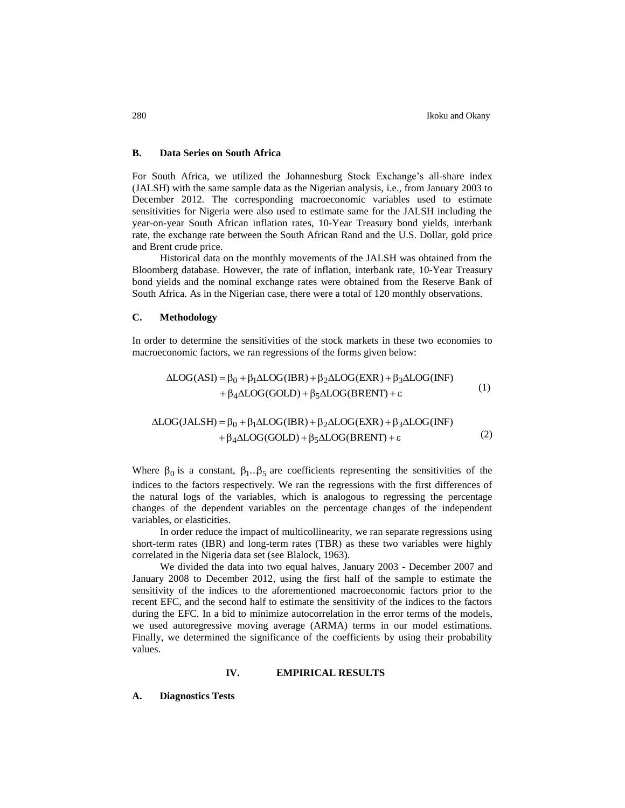### **B. Data Series on South Africa**

For South Africa, we utilized the Johannesburg Stock Exchange's all-share index (JALSH) with the same sample data as the Nigerian analysis, i.e., from January 2003 to December 2012. The corresponding macroeconomic variables used to estimate sensitivities for Nigeria were also used to estimate same for the JALSH including the year-on-year South African inflation rates, 10-Year Treasury bond yields, interbank rate, the exchange rate between the South African Rand and the U.S. Dollar, gold price and Brent crude price.

Historical data on the monthly movements of the JALSH was obtained from the Bloomberg database. However, the rate of inflation, interbank rate, 10-Year Treasury bond yields and the nominal exchange rates were obtained from the Reserve Bank of South Africa. As in the Nigerian case, there were a total of 120 monthly observations.

## **C. Methodology**

In order to determine the sensitivities of the stock markets in these two economies to macroeconomic factors, we ran regressions of the forms given below:

$$
\Delta LOG(ASI) = \beta_0 + \beta_1 \Delta LOG(IBR) + \beta_2 \Delta LOG(EXR) + \beta_3 \Delta LOG(INF) + \beta_4 \Delta LOG(GOLD) + \beta_5 \Delta LOG(BRENT) + \varepsilon
$$
 (1)

$$
\Delta LOG(JALSH) = \beta_0 + \beta_1 \Delta LOG(IBR) + \beta_2 \Delta LOG(EXR) + \beta_3 \Delta LOG(INF) + \beta_4 \Delta LOG(GOLD) + \beta_5 \Delta LOG(BRENT) + \epsilon
$$
 (2)

Where  $\beta_0$  is a constant,  $\beta_1 \cdot \beta_5$  are coefficients representing the sensitivities of the indices to the factors respectively. We ran the regressions with the first differences of the natural logs of the variables, which is analogous to regressing the percentage changes of the dependent variables on the percentage changes of the independent variables, or elasticities.

In order reduce the impact of multicollinearity, we ran separate regressions using short-term rates (IBR) and long-term rates (TBR) as these two variables were highly correlated in the Nigeria data set (see Blalock, 1963).

We divided the data into two equal halves, January 2003 - December 2007 and January 2008 to December 2012, using the first half of the sample to estimate the sensitivity of the indices to the aforementioned macroeconomic factors prior to the recent EFC, and the second half to estimate the sensitivity of the indices to the factors during the EFC. In a bid to minimize autocorrelation in the error terms of the models, we used autoregressive moving average (ARMA) terms in our model estimations. Finally, we determined the significance of the coefficients by using their probability values.

#### **IV. EMPIRICAL RESULTS**

#### **A. Diagnostics Tests**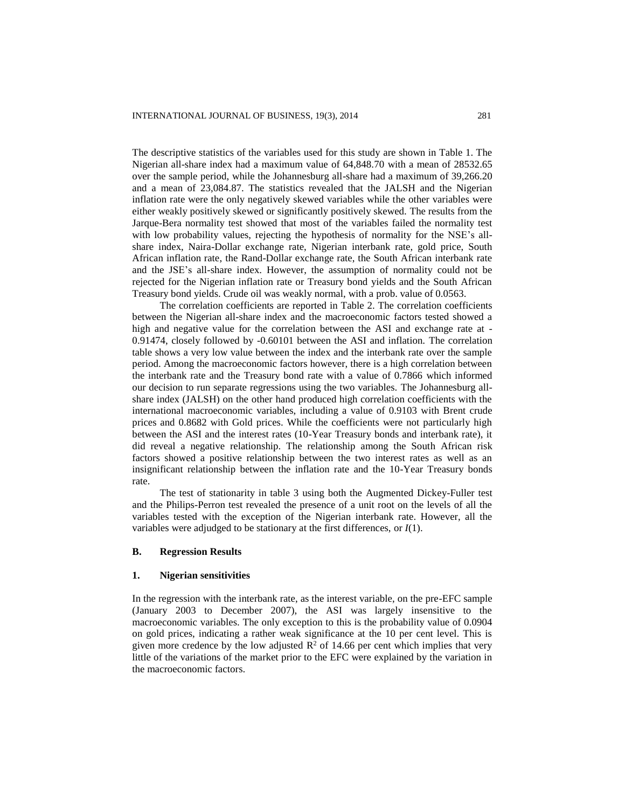The descriptive statistics of the variables used for this study are shown in Table 1. The Nigerian all-share index had a maximum value of 64,848.70 with a mean of 28532.65 over the sample period, while the Johannesburg all-share had a maximum of 39,266.20 and a mean of 23,084.87. The statistics revealed that the JALSH and the Nigerian inflation rate were the only negatively skewed variables while the other variables were either weakly positively skewed or significantly positively skewed. The results from the Jarque-Bera normality test showed that most of the variables failed the normality test with low probability values, rejecting the hypothesis of normality for the NSE's allshare index, Naira-Dollar exchange rate, Nigerian interbank rate, gold price, South African inflation rate, the Rand-Dollar exchange rate, the South African interbank rate and the JSE's all-share index. However, the assumption of normality could not be rejected for the Nigerian inflation rate or Treasury bond yields and the South African Treasury bond yields. Crude oil was weakly normal, with a prob. value of 0.0563.

The correlation coefficients are reported in Table 2. The correlation coefficients between the Nigerian all-share index and the macroeconomic factors tested showed a high and negative value for the correlation between the ASI and exchange rate at - 0.91474, closely followed by -0.60101 between the ASI and inflation. The correlation table shows a very low value between the index and the interbank rate over the sample period. Among the macroeconomic factors however, there is a high correlation between the interbank rate and the Treasury bond rate with a value of 0.7866 which informed our decision to run separate regressions using the two variables. The Johannesburg allshare index (JALSH) on the other hand produced high correlation coefficients with the international macroeconomic variables, including a value of 0.9103 with Brent crude prices and 0.8682 with Gold prices. While the coefficients were not particularly high between the ASI and the interest rates (10-Year Treasury bonds and interbank rate), it did reveal a negative relationship. The relationship among the South African risk factors showed a positive relationship between the two interest rates as well as an insignificant relationship between the inflation rate and the 10-Year Treasury bonds rate.

The test of stationarity in table 3 using both the Augmented Dickey-Fuller test and the Philips-Perron test revealed the presence of a unit root on the levels of all the variables tested with the exception of the Nigerian interbank rate. However, all the variables were adjudged to be stationary at the first differences, or *I*(1).

### **B. Regression Results**

#### **1. Nigerian sensitivities**

In the regression with the interbank rate, as the interest variable, on the pre-EFC sample (January 2003 to December 2007), the ASI was largely insensitive to the macroeconomic variables. The only exception to this is the probability value of 0.0904 on gold prices, indicating a rather weak significance at the 10 per cent level. This is given more credence by the low adjusted  $\mathbb{R}^2$  of 14.66 per cent which implies that very little of the variations of the market prior to the EFC were explained by the variation in the macroeconomic factors.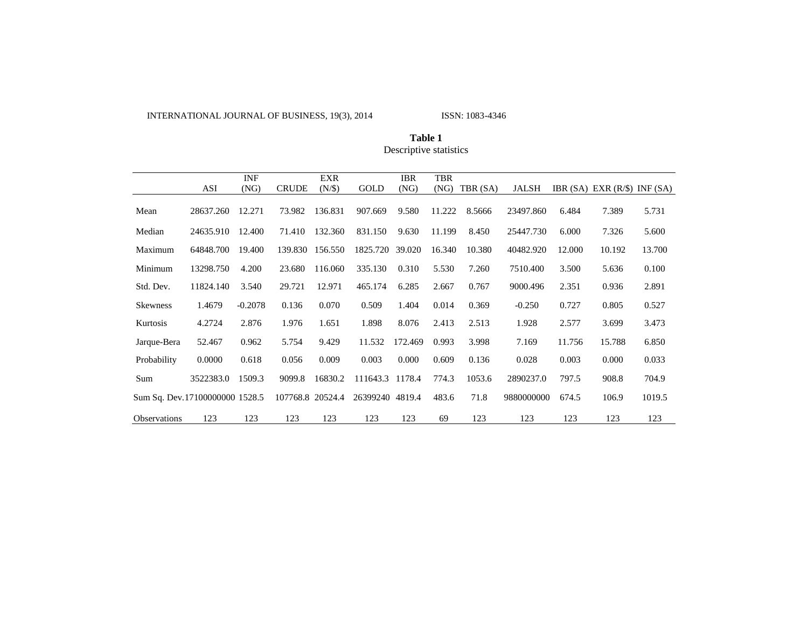INTERNATIONAL JOURNAL OF BUSINESS, 19(3), 2014 ISSN: 1083-4346

|                                |           | <b>INF</b> |                  | EXR     |                 | <b>IBR</b> | TBR    |          |            |        |                                    |        |
|--------------------------------|-----------|------------|------------------|---------|-----------------|------------|--------|----------|------------|--------|------------------------------------|--------|
|                                | ASI       | (NG)       | <b>CRUDE</b>     | (N/\$)  | GOLD            | (NG)       | (NG)   | TBR (SA) | JALSH      |        | IBR $(SA)$ EXR $(R/\$)$ INF $(SA)$ |        |
| Mean                           | 28637.260 | 12.271     | 73.982           | 136.831 | 907.669         | 9.580      | 11.222 | 8.5666   | 23497.860  | 6.484  | 7.389                              | 5.731  |
| Median                         | 24635.910 | 12.400     | 71.410           | 132.360 | 831.150         | 9.630      | 11.199 | 8.450    | 25447.730  | 6.000  | 7.326                              | 5.600  |
| Maximum                        | 64848.700 | 19.400     | 139.830          | 156.550 | 1825.720        | 39.020     | 16.340 | 10.380   | 40482.920  | 12.000 | 10.192                             | 13.700 |
| Minimum                        | 13298.750 | 4.200      | 23.680           | 116.060 | 335.130         | 0.310      | 5.530  | 7.260    | 7510.400   | 3.500  | 5.636                              | 0.100  |
| Std. Dev.                      | 11824.140 | 3.540      | 29.721           | 12.971  | 465.174         | 6.285      | 2.667  | 0.767    | 9000.496   | 2.351  | 0.936                              | 2.891  |
| <b>Skewness</b>                | 1.4679    | $-0.2078$  | 0.136            | 0.070   | 0.509           | 1.404      | 0.014  | 0.369    | $-0.250$   | 0.727  | 0.805                              | 0.527  |
| Kurtosis                       | 4.2724    | 2.876      | 1.976            | 1.651   | 1.898           | 8.076      | 2.413  | 2.513    | 1.928      | 2.577  | 3.699                              | 3.473  |
| Jarque-Bera                    | 52.467    | 0.962      | 5.754            | 9.429   | 11.532          | 172.469    | 0.993  | 3.998    | 7.169      | 11.756 | 15.788                             | 6.850  |
| Probability                    | 0.0000    | 0.618      | 0.056            | 0.009   | 0.003           | 0.000      | 0.609  | 0.136    | 0.028      | 0.003  | 0.000                              | 0.033  |
| Sum                            | 3522383.0 | 1509.3     | 9099.8           | 16830.2 | 111643.3        | 1178.4     | 774.3  | 1053.6   | 2890237.0  | 797.5  | 908.8                              | 704.9  |
| Sum Sq. Dev.17100000000 1528.5 |           |            | 107768.8 20524.4 |         | 26399240 4819.4 |            | 483.6  | 71.8     | 9880000000 | 674.5  | 106.9                              | 1019.5 |
| Observations                   | 123       | 123        | 123              | 123     | 123             | 123        | 69     | 123      | 123        | 123    | 123                                | 123    |

**Table 1** Descriptive statistics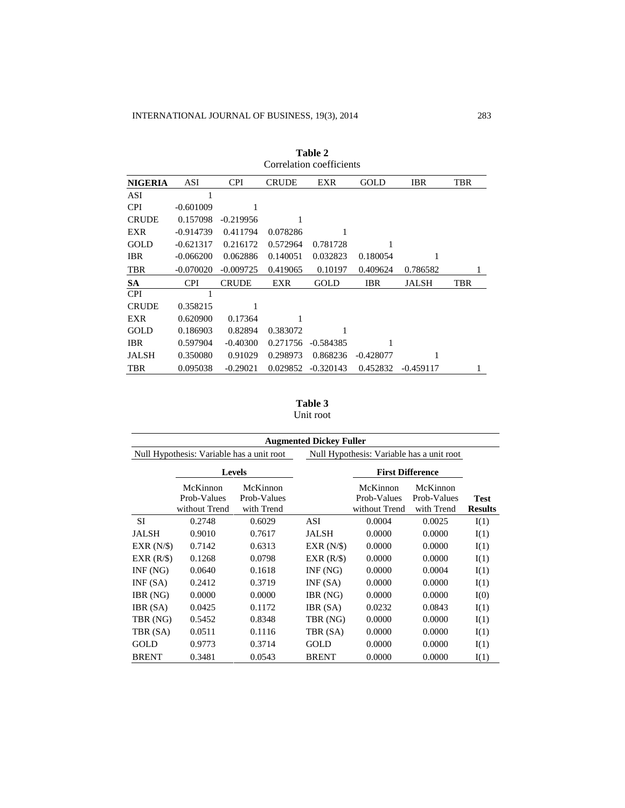|                | onomuon eochielene |              |              |             |             |              |            |  |  |  |
|----------------|--------------------|--------------|--------------|-------------|-------------|--------------|------------|--|--|--|
| <b>NIGERIA</b> | ASI                | <b>CPI</b>   | <b>CRUDE</b> | EXR         | GOLD        | <b>IBR</b>   | <b>TBR</b> |  |  |  |
| ASI            | 1                  |              |              |             |             |              |            |  |  |  |
| <b>CPI</b>     | $-0.601009$        | 1            |              |             |             |              |            |  |  |  |
| <b>CRUDE</b>   | 0.157098           | $-0.219956$  |              |             |             |              |            |  |  |  |
| EXR            | $-0.914739$        | 0.411794     | 0.078286     | 1           |             |              |            |  |  |  |
| <b>GOLD</b>    | $-0.621317$        | 0.216172     | 0.572964     | 0.781728    | 1           |              |            |  |  |  |
| <b>IBR</b>     | $-0.066200$        | 0.062886     | 0.140051     | 0.032823    | 0.180054    | 1            |            |  |  |  |
| TBR            | $-0.070020$        | $-0.009725$  | 0.419065     | 0.10197     | 0.409624    | 0.786582     | 1          |  |  |  |
| <b>SA</b>      | <b>CPI</b>         | <b>CRUDE</b> | EXR          | <b>GOLD</b> | IBR         | <b>JALSH</b> | TBR        |  |  |  |
| <b>CPI</b>     |                    |              |              |             |             |              |            |  |  |  |
| <b>CRUDE</b>   | 0.358215           | 1            |              |             |             |              |            |  |  |  |
| EXR            | 0.620900           | 0.17364      |              |             |             |              |            |  |  |  |
| GOLD           | 0.186903           | 0.82894      | 0.383072     | 1           |             |              |            |  |  |  |
| <b>IBR</b>     | 0.597904           | $-0.40300$   | 0.271756     | $-0.584385$ | 1           |              |            |  |  |  |
| <b>JALSH</b>   | 0.350080           | 0.91029      | 0.298973     | 0.868236    | $-0.428077$ | 1            |            |  |  |  |
| <b>TBR</b>     | 0.095038           | $-0.29021$   | 0.029852     | $-0.320143$ | 0.452832    | $-0.459117$  |            |  |  |  |

| Table 2                  |  |  |  |  |  |  |
|--------------------------|--|--|--|--|--|--|
| Correlation coefficients |  |  |  |  |  |  |

**Table 3** Unit root

|                                           |                                          |                                       | <b>Augmented Dickey Fuller</b> |                                           |                                       |                               |  |
|-------------------------------------------|------------------------------------------|---------------------------------------|--------------------------------|-------------------------------------------|---------------------------------------|-------------------------------|--|
| Null Hypothesis: Variable has a unit root |                                          |                                       |                                | Null Hypothesis: Variable has a unit root |                                       |                               |  |
|                                           |                                          | <b>Levels</b>                         |                                | <b>First Difference</b>                   |                                       |                               |  |
|                                           | McKinnon<br>Prob-Values<br>without Trend | McKinnon<br>Prob-Values<br>with Trend |                                | McKinnon<br>Prob-Values<br>without Trend  | McKinnon<br>Prob-Values<br>with Trend | <b>Test</b><br><b>Results</b> |  |
| <b>SI</b>                                 | 0.2748                                   | 0.6029                                | ASI                            | 0.0004                                    | 0.0025                                | I(1)                          |  |
| <b>JALSH</b>                              | 0.9010                                   | 0.7617                                | JALSH                          | 0.0000                                    | 0.0000                                | I(1)                          |  |
| EXR(N/S)                                  | 0.7142                                   | 0.6313                                | EXR(N/S)                       | 0.0000                                    | 0.0000                                | I(1)                          |  |
| EXR(R/S)                                  | 0.1268                                   | 0.0798                                | EXR(R/S)                       | 0.0000                                    | 0.0000                                | I(1)                          |  |
| INF(NG)                                   | 0.0640                                   | 0.1618                                | INF(NG)                        | 0.0000                                    | 0.0004                                | I(1)                          |  |
| INF(SA)                                   | 0.2412                                   | 0.3719                                | INF(SA)                        | 0.0000                                    | 0.0000                                | I(1)                          |  |
| IBR (NG)                                  | 0.0000                                   | 0.0000                                | IBR (NG)                       | 0.0000                                    | 0.0000                                | I(0)                          |  |
| IBR (SA)                                  | 0.0425                                   | 0.1172                                | IBR (SA)                       | 0.0232                                    | 0.0843                                | I(1)                          |  |
| TBR (NG)                                  | 0.5452                                   | 0.8348                                | TBR (NG)                       | 0.0000                                    | 0.0000                                | I(1)                          |  |
| TBR (SA)                                  | 0.0511                                   | 0.1116                                | TBR (SA)                       | 0.0000                                    | 0.0000                                | I(1)                          |  |
| GOLD                                      | 0.9773                                   | 0.3714                                | GOLD                           | 0.0000                                    | 0.0000                                | I(1)                          |  |
| <b>BRENT</b>                              | 0.3481                                   | 0.0543                                | <b>BRENT</b>                   | 0.0000                                    | 0.0000                                | I(1)                          |  |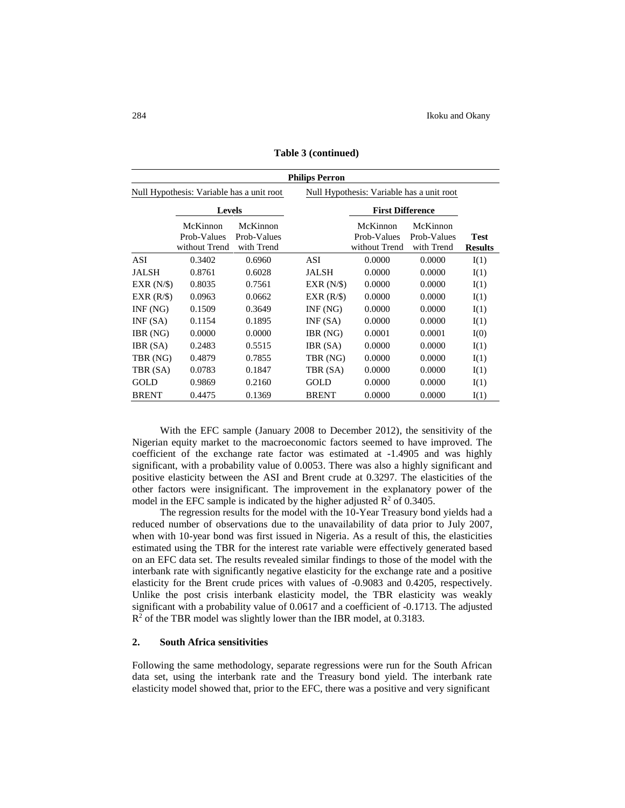|                                                                                        | <b>Philips Perron</b>                    |                                       |              |                                          |                                       |                               |  |  |
|----------------------------------------------------------------------------------------|------------------------------------------|---------------------------------------|--------------|------------------------------------------|---------------------------------------|-------------------------------|--|--|
| Null Hypothesis: Variable has a unit root<br>Null Hypothesis: Variable has a unit root |                                          |                                       |              |                                          |                                       |                               |  |  |
|                                                                                        | <b>Levels</b>                            |                                       |              | <b>First Difference</b>                  |                                       |                               |  |  |
|                                                                                        | McKinnon<br>Prob-Values<br>without Trend | McKinnon<br>Prob-Values<br>with Trend |              | McKinnon<br>Prob-Values<br>without Trend | McKinnon<br>Prob-Values<br>with Trend | <b>Test</b><br><b>Results</b> |  |  |
| ASI                                                                                    | 0.3402                                   | 0.6960                                | ASI          | 0.0000                                   | 0.0000                                | I(1)                          |  |  |
| <b>JALSH</b>                                                                           | 0.8761                                   | 0.6028                                | JALSH        | 0.0000                                   | 0.0000                                | I(1)                          |  |  |
| EXR(N/S)                                                                               | 0.8035                                   | 0.7561                                | EXR(N/S)     | 0.0000                                   | 0.0000                                | I(1)                          |  |  |
| EXR(R/S)                                                                               | 0.0963                                   | 0.0662                                | EXR(R/S)     | 0.0000                                   | 0.0000                                | I(1)                          |  |  |
| INF(NG)                                                                                | 0.1509                                   | 0.3649                                | INF(NG)      | 0.0000                                   | 0.0000                                | I(1)                          |  |  |
| INF(SA)                                                                                | 0.1154                                   | 0.1895                                | INF(SA)      | 0.0000                                   | 0.0000                                | I(1)                          |  |  |
| IBR (NG)                                                                               | 0.0000                                   | 0.0000                                | IBR (NG)     | 0.0001                                   | 0.0001                                | I(0)                          |  |  |
| IBR (SA)                                                                               | 0.2483                                   | 0.5515                                | IBR (SA)     | 0.0000                                   | 0.0000                                | I(1)                          |  |  |
| TBR (NG)                                                                               | 0.4879                                   | 0.7855                                | TBR (NG)     | 0.0000                                   | 0.0000                                | I(1)                          |  |  |
| TBR (SA)                                                                               | 0.0783                                   | 0.1847                                | TBR (SA)     | 0.0000                                   | 0.0000                                | I(1)                          |  |  |
| GOLD                                                                                   | 0.9869                                   | 0.2160                                | GOLD         | 0.0000                                   | 0.0000                                | I(1)                          |  |  |
| <b>BRENT</b>                                                                           | 0.4475                                   | 0.1369                                | <b>BRENT</b> | 0.0000                                   | 0.0000                                | I(1)                          |  |  |

**Table 3 (continued)**

With the EFC sample (January 2008 to December 2012), the sensitivity of the Nigerian equity market to the macroeconomic factors seemed to have improved. The coefficient of the exchange rate factor was estimated at -1.4905 and was highly significant, with a probability value of 0.0053. There was also a highly significant and positive elasticity between the ASI and Brent crude at 0.3297. The elasticities of the other factors were insignificant. The improvement in the explanatory power of the model in the EFC sample is indicated by the higher adjusted  $\mathbb{R}^2$  of 0.3405.

The regression results for the model with the 10-Year Treasury bond yields had a reduced number of observations due to the unavailability of data prior to July 2007, when with 10-year bond was first issued in Nigeria. As a result of this, the elasticities estimated using the TBR for the interest rate variable were effectively generated based on an EFC data set. The results revealed similar findings to those of the model with the interbank rate with significantly negative elasticity for the exchange rate and a positive elasticity for the Brent crude prices with values of -0.9083 and 0.4205, respectively. Unlike the post crisis interbank elasticity model, the TBR elasticity was weakly significant with a probability value of 0.0617 and a coefficient of -0.1713. The adjusted  $R<sup>2</sup>$  of the TBR model was slightly lower than the IBR model, at 0.3183.

### **2. South Africa sensitivities**

Following the same methodology, separate regressions were run for the South African data set, using the interbank rate and the Treasury bond yield. The interbank rate elasticity model showed that, prior to the EFC, there was a positive and very significant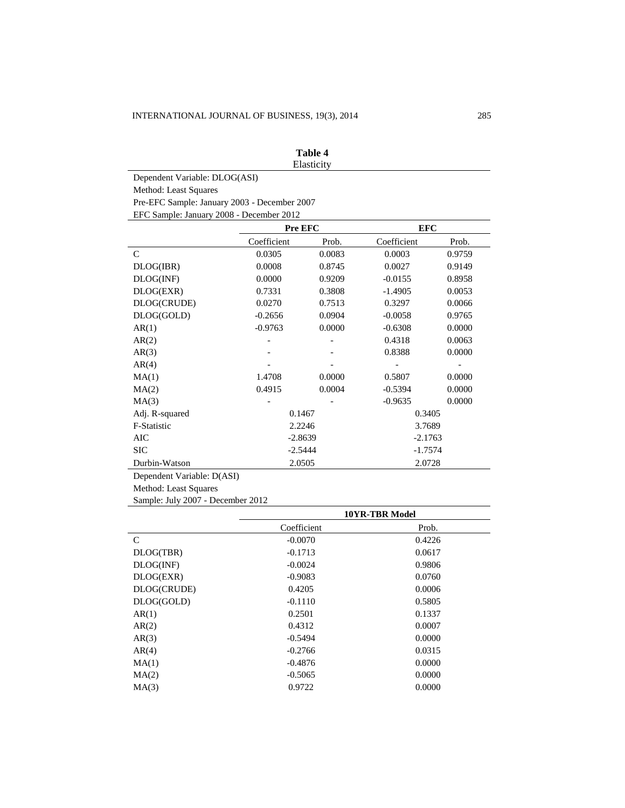|                                              |             | Table 4 |             |        |  |  |  |  |
|----------------------------------------------|-------------|---------|-------------|--------|--|--|--|--|
| Elasticity                                   |             |         |             |        |  |  |  |  |
| Dependent Variable: DLOG(ASI)                |             |         |             |        |  |  |  |  |
| Method: Least Squares                        |             |         |             |        |  |  |  |  |
| Pre-EFC Sample: January 2003 - December 2007 |             |         |             |        |  |  |  |  |
| EFC Sample: January 2008 - December 2012     |             |         |             |        |  |  |  |  |
|                                              | Pre EFC     |         | <b>EFC</b>  |        |  |  |  |  |
|                                              | Coefficient | Prob.   | Coefficient | Prob.  |  |  |  |  |
| $\mathsf{C}$                                 | 0.0305      | 0.0083  | 0.0003      | 0.9759 |  |  |  |  |
| DLOG(IBR)                                    | 0.0008      | 0.8745  | 0.0027      | 0.9149 |  |  |  |  |
| DLOG(INF)                                    | 0.0000      | 0.9209  | $-0.0155$   | 0.8958 |  |  |  |  |
| DLOG(EXR)                                    | 0.7331      | 0.3808  | $-1.4905$   | 0.0053 |  |  |  |  |
| DLOG(CRUDE)                                  | 0.0270      | 0.7513  | 0.3297      | 0.0066 |  |  |  |  |
| DLOG(GOLD)                                   | $-0.2656$   | 0.0904  | $-0.0058$   | 0.9765 |  |  |  |  |
| AR(1)                                        | $-0.9763$   | 0.0000  | $-0.6308$   | 0.0000 |  |  |  |  |
| AR(2)                                        |             |         | 0.4318      | 0.0063 |  |  |  |  |
| AR(3)                                        |             |         | 0.8388      | 0.0000 |  |  |  |  |
| AR(4)                                        |             |         |             |        |  |  |  |  |
| MA(1)                                        | 1.4708      | 0.0000  | 0.5807      | 0.0000 |  |  |  |  |
| MA(2)                                        | 0.4915      | 0.0004  | $-0.5394$   | 0.0000 |  |  |  |  |
| MA(3)                                        |             |         | $-0.9635$   | 0.0000 |  |  |  |  |
| Adj. R-squared                               | 0.1467      |         | 0.3405      |        |  |  |  |  |
| F-Statistic                                  | 2.2246      |         | 3.7689      |        |  |  |  |  |
| <b>AIC</b>                                   | $-2.8639$   |         | $-2.1763$   |        |  |  |  |  |
| <b>SIC</b>                                   | $-2.5444$   |         | $-1.7574$   |        |  |  |  |  |
| Durbin-Watson                                | 2.0505      |         | 2.0728      |        |  |  |  |  |
| Donaudont Variables $D(ACD)$                 |             |         |             |        |  |  |  |  |

Dependent Variable: D(ASI)

Method: Least Squares

Sample: July 2007 - December 2012

|               | <b>10YR-TBR Model</b> |        |  |
|---------------|-----------------------|--------|--|
|               | Coefficient           | Prob.  |  |
| $\mathcal{C}$ | $-0.0070$             | 0.4226 |  |
| DLOG(TBR)     | $-0.1713$             | 0.0617 |  |
| DLOG(NF)      | $-0.0024$             | 0.9806 |  |
| DLOG(EXR)     | $-0.9083$             | 0.0760 |  |
| DLOG(CRUDE)   | 0.4205                | 0.0006 |  |
| DLOG(GOLD)    | $-0.1110$             | 0.5805 |  |
| AR(1)         | 0.2501                | 0.1337 |  |
| AR(2)         | 0.4312                | 0.0007 |  |
| AR(3)         | $-0.5494$             | 0.0000 |  |
| AR(4)         | $-0.2766$             | 0.0315 |  |
| MA(1)         | $-0.4876$             | 0.0000 |  |
| MA(2)         | $-0.5065$             | 0.0000 |  |
| MA(3)         | 0.9722                | 0.0000 |  |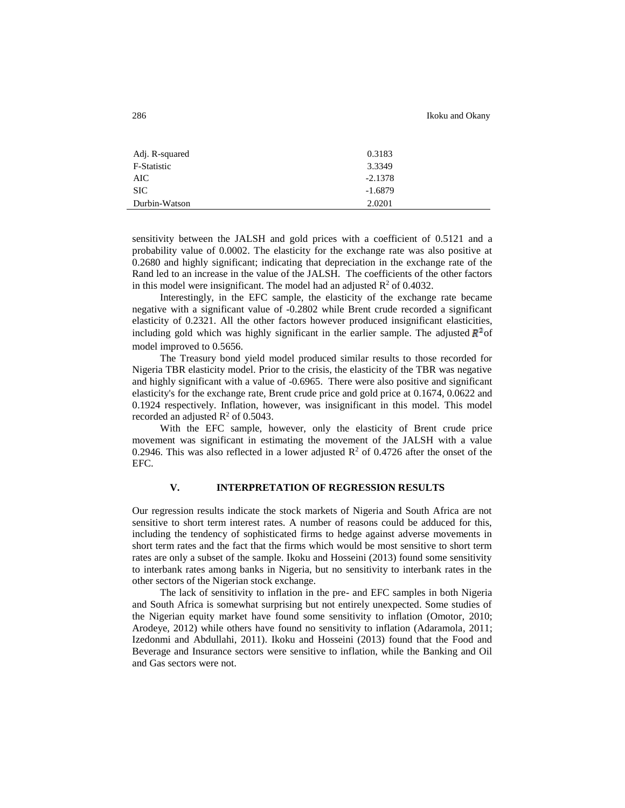| Adj. R-squared | 0.3183    |
|----------------|-----------|
| F-Statistic    | 3.3349    |
| AIC            | $-2.1378$ |
| <b>SIC</b>     | $-1.6879$ |
| Durbin-Watson  | 2.0201    |

sensitivity between the JALSH and gold prices with a coefficient of 0.5121 and a probability value of 0.0002. The elasticity for the exchange rate was also positive at 0.2680 and highly significant; indicating that depreciation in the exchange rate of the Rand led to an increase in the value of the JALSH. The coefficients of the other factors in this model were insignificant. The model had an adjusted  $\mathbb{R}^2$  of 0.4032.

Interestingly, in the EFC sample, the elasticity of the exchange rate became negative with a significant value of -0.2802 while Brent crude recorded a significant elasticity of 0.2321. All the other factors however produced insignificant elasticities, including gold which was highly significant in the earlier sample. The adjusted  $\mathbb{R}^2$  of model improved to 0.5656.

The Treasury bond yield model produced similar results to those recorded for Nigeria TBR elasticity model. Prior to the crisis, the elasticity of the TBR was negative and highly significant with a value of -0.6965. There were also positive and significant elasticity's for the exchange rate, Brent crude price and gold price at 0.1674, 0.0622 and 0.1924 respectively. Inflation, however, was insignificant in this model. This model recorded an adjusted  $\mathbb{R}^2$  of 0.5043.

With the EFC sample, however, only the elasticity of Brent crude price movement was significant in estimating the movement of the JALSH with a value 0.2946. This was also reflected in a lower adjusted  $\mathbb{R}^2$  of 0.4726 after the onset of the EFC.

# **V. INTERPRETATION OF REGRESSION RESULTS**

Our regression results indicate the stock markets of Nigeria and South Africa are not sensitive to short term interest rates. A number of reasons could be adduced for this, including the tendency of sophisticated firms to hedge against adverse movements in short term rates and the fact that the firms which would be most sensitive to short term rates are only a subset of the sample. Ikoku and Hosseini (2013) found some sensitivity to interbank rates among banks in Nigeria, but no sensitivity to interbank rates in the other sectors of the Nigerian stock exchange.

The lack of sensitivity to inflation in the pre- and EFC samples in both Nigeria and South Africa is somewhat surprising but not entirely unexpected. Some studies of the Nigerian equity market have found some sensitivity to inflation (Omotor, 2010; Arodeye, 2012) while others have found no sensitivity to inflation (Adaramola, 2011; Izedonmi and Abdullahi, 2011). Ikoku and Hosseini (2013) found that the Food and Beverage and Insurance sectors were sensitive to inflation, while the Banking and Oil and Gas sectors were not.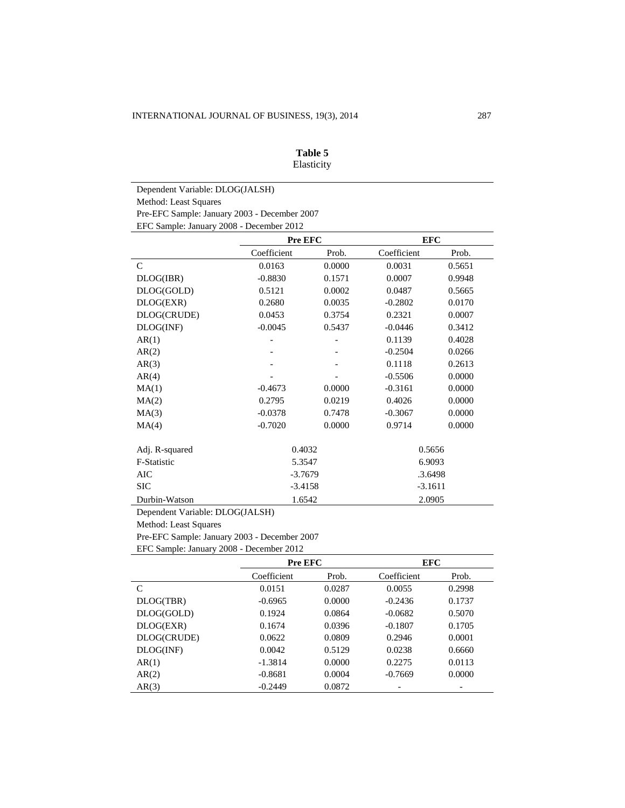| Table 5    |
|------------|
| Elasticity |

Dependent Variable: DLOG(JALSH) Method: Least Squares Pre-EFC Sample: January 2003 - December 2007 EFC Sample: January 2008 - December 2012

|                | Pre EFC     |        | <b>EFC</b>  |        |  |
|----------------|-------------|--------|-------------|--------|--|
|                | Coefficient | Prob.  | Coefficient | Prob.  |  |
| $\mathcal{C}$  | 0.0163      | 0.0000 | 0.0031      | 0.5651 |  |
| DLOG(IBR)      | $-0.8830$   | 0.1571 | 0.0007      | 0.9948 |  |
| DLOG(GOLD)     | 0.5121      | 0.0002 | 0.0487      | 0.5665 |  |
| DLOG(EXR)      | 0.2680      | 0.0035 | $-0.2802$   | 0.0170 |  |
| DLOG(CRUDE)    | 0.0453      | 0.3754 | 0.2321      | 0.0007 |  |
| DLOG(INF)      | $-0.0045$   | 0.5437 | $-0.0446$   | 0.3412 |  |
| AR(1)          |             |        | 0.1139      | 0.4028 |  |
| AR(2)          |             |        | $-0.2504$   | 0.0266 |  |
| AR(3)          |             |        | 0.1118      | 0.2613 |  |
| AR(4)          |             |        | $-0.5506$   | 0.0000 |  |
| MA(1)          | $-0.4673$   | 0.0000 | $-0.3161$   | 0.0000 |  |
| MA(2)          | 0.2795      | 0.0219 | 0.4026      | 0.0000 |  |
| MA(3)          | $-0.0378$   | 0.7478 | $-0.3067$   | 0.0000 |  |
| MA(4)          | $-0.7020$   | 0.0000 | 0.9714      | 0.0000 |  |
| Adj. R-squared | 0.4032      |        | 0.5656      |        |  |
| F-Statistic    | 5.3547      |        | 6.9093      |        |  |
| AIC            | $-3.7679$   |        | .3.6498     |        |  |
| <b>SIC</b>     | $-3.4158$   |        | $-3.1611$   |        |  |
| Durbin-Watson  | 1.6542      |        | 2.0905      |        |  |

Dependent Variable: DLOG(JALSH)

Method: Least Squares

Pre-EFC Sample: January 2003 - December 2007

EFC Sample: January 2008 - December 2012

|             | Pre EFC     |        | <b>EFC</b>  |        |
|-------------|-------------|--------|-------------|--------|
|             | Coefficient | Prob.  | Coefficient | Prob.  |
| C           | 0.0151      | 0.0287 | 0.0055      | 0.2998 |
| DLOG(TBR)   | $-0.6965$   | 0.0000 | $-0.2436$   | 0.1737 |
| DLOG(GOLD)  | 0.1924      | 0.0864 | $-0.0682$   | 0.5070 |
| DLOG(EXR)   | 0.1674      | 0.0396 | $-0.1807$   | 0.1705 |
| DLOG(CRUDE) | 0.0622      | 0.0809 | 0.2946      | 0.0001 |
| DLOG(NF)    | 0.0042      | 0.5129 | 0.0238      | 0.6660 |
| AR(1)       | $-1.3814$   | 0.0000 | 0.2275      | 0.0113 |
| AR(2)       | $-0.8681$   | 0.0004 | $-0.7669$   | 0.0000 |
| AR(3)       | $-0.2449$   | 0.0872 |             |        |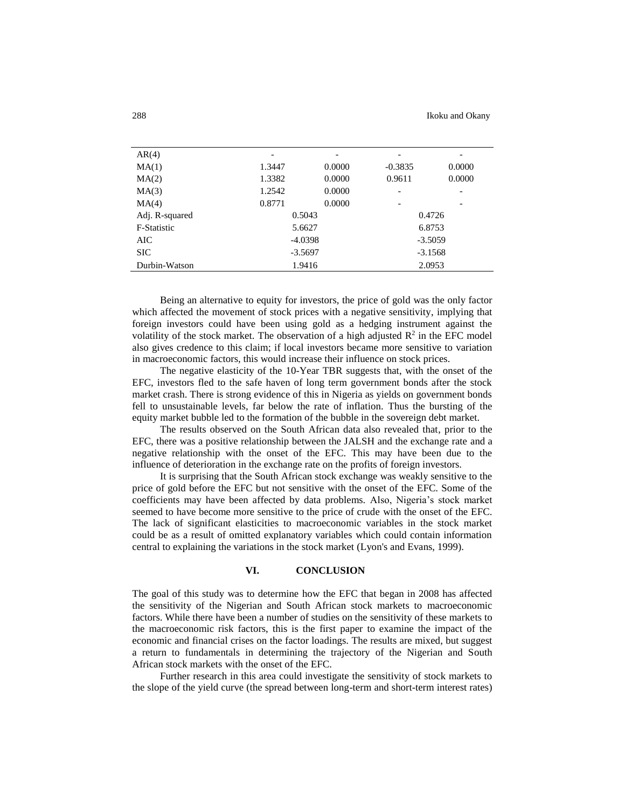| AR(4)              |           | -      |           | $\overline{\phantom{a}}$ |  |
|--------------------|-----------|--------|-----------|--------------------------|--|
| MA(1)              | 1.3447    | 0.0000 | $-0.3835$ | 0.0000                   |  |
| MA(2)              | 1.3382    | 0.0000 | 0.9611    | 0.0000                   |  |
| MA(3)              | 1.2542    | 0.0000 | -         | $\overline{\phantom{a}}$ |  |
| MA(4)              | 0.8771    | 0.0000 | ۰         | $\qquad \qquad$          |  |
| Adj. R-squared     | 0.5043    |        | 0.4726    |                          |  |
| <b>F-Statistic</b> | 5.6627    |        | 6.8753    |                          |  |
| AIC                | $-4.0398$ |        | $-3.5059$ |                          |  |
| <b>SIC</b>         | $-3.5697$ |        | $-3.1568$ |                          |  |
| Durbin-Watson      |           | 1.9416 | 2.0953    |                          |  |

Being an alternative to equity for investors, the price of gold was the only factor which affected the movement of stock prices with a negative sensitivity, implying that foreign investors could have been using gold as a hedging instrument against the volatility of the stock market. The observation of a high adjusted  $\mathbb{R}^2$  in the EFC model also gives credence to this claim; if local investors became more sensitive to variation in macroeconomic factors, this would increase their influence on stock prices.

The negative elasticity of the 10-Year TBR suggests that, with the onset of the EFC, investors fled to the safe haven of long term government bonds after the stock market crash. There is strong evidence of this in Nigeria as yields on government bonds fell to unsustainable levels, far below the rate of inflation. Thus the bursting of the equity market bubble led to the formation of the bubble in the sovereign debt market.

The results observed on the South African data also revealed that, prior to the EFC, there was a positive relationship between the JALSH and the exchange rate and a negative relationship with the onset of the EFC. This may have been due to the influence of deterioration in the exchange rate on the profits of foreign investors.

It is surprising that the South African stock exchange was weakly sensitive to the price of gold before the EFC but not sensitive with the onset of the EFC. Some of the coefficients may have been affected by data problems. Also, Nigeria's stock market seemed to have become more sensitive to the price of crude with the onset of the EFC. The lack of significant elasticities to macroeconomic variables in the stock market could be as a result of omitted explanatory variables which could contain information central to explaining the variations in the stock market (Lyon's and Evans, 1999).

#### **VI. CONCLUSION**

The goal of this study was to determine how the EFC that began in 2008 has affected the sensitivity of the Nigerian and South African stock markets to macroeconomic factors. While there have been a number of studies on the sensitivity of these markets to the macroeconomic risk factors, this is the first paper to examine the impact of the economic and financial crises on the factor loadings. The results are mixed, but suggest a return to fundamentals in determining the trajectory of the Nigerian and South African stock markets with the onset of the EFC.

Further research in this area could investigate the sensitivity of stock markets to the slope of the yield curve (the spread between long-term and short-term interest rates)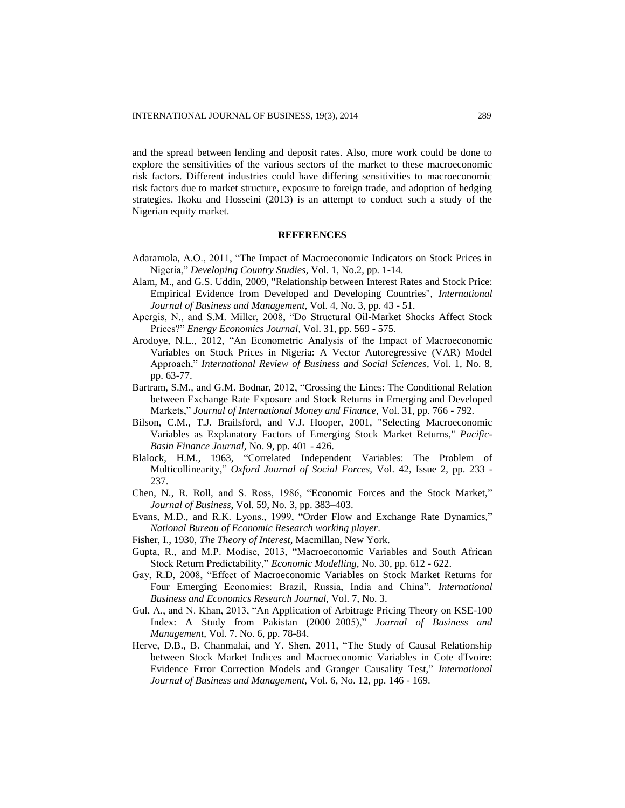and the spread between lending and deposit rates. Also, more work could be done to explore the sensitivities of the various sectors of the market to these macroeconomic risk factors. Different industries could have differing sensitivities to macroeconomic risk factors due to market structure, exposure to foreign trade, and adoption of hedging strategies. Ikoku and Hosseini (2013) is an attempt to conduct such a study of the Nigerian equity market.

### **REFERENCES**

- Adaramola, A.O., 2011, "The Impact of Macroeconomic Indicators on Stock Prices in Nigeria," *Developing Country Studies*, Vol. 1, No.2, pp. 1-14.
- Alam, M., and G.S. Uddin, 2009, "Relationship between Interest Rates and Stock Price: Empirical Evidence from Developed and Developing Countries", *International Journal of Business and Management,* Vol. 4, No. 3, pp. 43 - 51.
- Apergis, N., and S.M. Miller, 2008, "Do Structural Oil-Market Shocks Affect Stock Prices?" *Energy Economics Journal*, Vol. 31, pp. 569 - 575.
- Arodoye, N.L., 2012, "An Econometric Analysis of the Impact of Macroeconomic Variables on Stock Prices in Nigeria: A Vector Autoregressive (VAR) Model Approach," *International Review of Business and Social Sciences*, Vol. 1, No. 8, pp. 63-77.
- Bartram, S.M., and G.M. Bodnar, 2012, "Crossing the Lines: The Conditional Relation between Exchange Rate Exposure and Stock Returns in Emerging and Developed Markets," *Journal of International Money and Finance,* Vol. 31, pp. 766 - 792.
- Bilson, C.M., T.J. Brailsford, and V.J. Hooper, 2001, "Selecting Macroeconomic Variables as Explanatory Factors of Emerging Stock Market Returns," *Pacific-Basin Finance Journal,* No. 9, pp. 401 - 426.
- Blalock, H.M., 1963, "Correlated Independent Variables: The Problem of Multicollinearity," *Oxford Journal of Social Forces,* Vol. 42, Issue 2, pp. 233 - 237.
- Chen, N., R. Roll, and S. Ross, 1986, "Economic Forces and the Stock Market," *Journal of Business*, Vol. 59, No. 3, pp. 383–403.
- Evans, M.D., and R.K. Lyons., 1999, "Order Flow and Exchange Rate Dynamics," *National Bureau of Economic Research working player*.
- Fisher, I., 1930, *The Theory of Interest*, Macmillan, New York.
- Gupta, R., and M.P. Modise, 2013, "Macroeconomic Variables and South African Stock Return Predictability," *Economic Modelling,* No. 30, pp. 612 - 622.
- Gay, R.D, 2008, "Effect of Macroeconomic Variables on Stock Market Returns for Four Emerging Economies: Brazil, Russia, India and China", *International Business and Economics Research Journal,* Vol. 7, No. 3.
- Gul, A., and N. Khan, 2013, "An Application of Arbitrage Pricing Theory on KSE-100 Index: A Study from Pakistan (2000–2005)," *Journal of Business and Management,* Vol. 7. No. 6, pp. 78-84.
- Herve, D.B., B. Chanmalai, and Y. Shen, 2011, "The Study of Causal Relationship between Stock Market Indices and Macroeconomic Variables in Cote d'Ivoire: Evidence Error Correction Models and Granger Causality Test," *International Journal of Business and Management,* Vol. 6, No. 12, pp. 146 - 169.